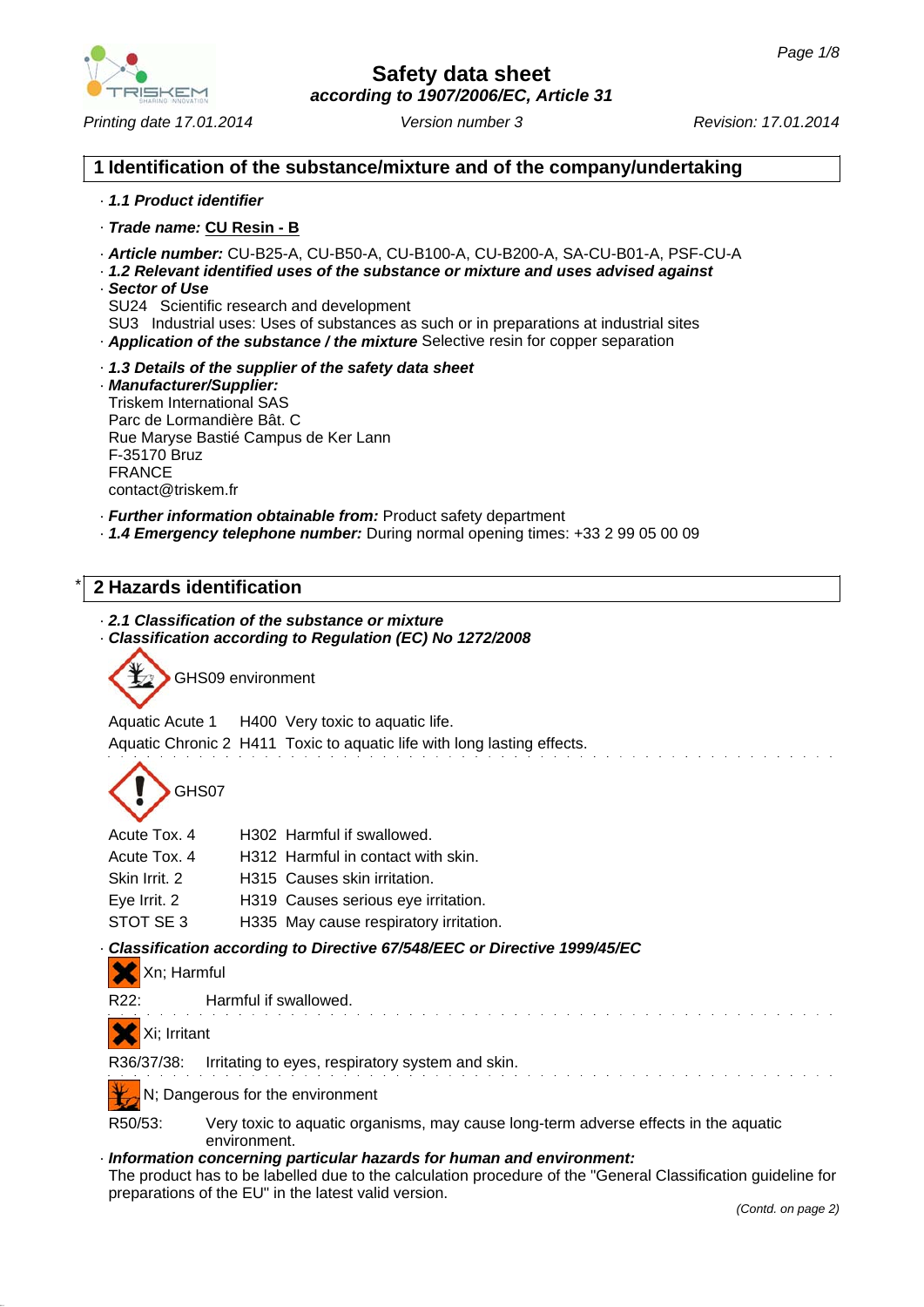

*Printing date 17.01.2014 Revision: 17.01.2014 Version number 3*

### **1 Identification of the substance/mixture and of the company/undertaking**

#### · *1.1 Product identifier*

- · *Trade name:* **CU Resin B**
- · *Article number:* CU-B25-A, CU-B50-A, CU-B100-A, CU-B200-A, SA-CU-B01-A, PSF-CU-A
- · *1.2 Relevant identified uses of the substance or mixture and uses advised against*
- · *Sector of Use*
- SU24 Scientific research and development
- SU3 Industrial uses: Uses of substances as such or in preparations at industrial sites
- · *Application of the substance / the mixture* Selective resin for copper separation
- · *1.3 Details of the supplier of the safety data sheet*

#### · *Manufacturer/Supplier:* Triskem International SAS Parc de Lormandière Bât. C Rue Maryse Bastié Campus de Ker Lann F-35170 Bruz FRANCE contact@triskem.fr

· *Further information obtainable from:* Product safety department

· *1.4 Emergency telephone number:* During normal opening times: +33 2 99 05 00 09

## \* **2 Hazards identification**

### · *2.1 Classification of the substance or mixture*

· *Classification according to Regulation (EC) No 1272/2008*

GHS09 environment

Aquatic Acute 1 H400 Very toxic to aquatic life. Aquatic Chronic 2 H411 Toxic to aquatic life with long lasting effects.

GHS07

| Acute Tox. 4  | H302 Harmful if swallowed.             |
|---------------|----------------------------------------|
| Acute Tox. 4  | H312 Harmful in contact with skin.     |
| Skin Irrit. 2 | H315 Causes skin irritation.           |
| Eye Irrit. 2  | H319 Causes serious eye irritation.    |
| STOT SE 3     | H335 May cause respiratory irritation. |

### · *Classification according to Directive 67/548/EEC or Directive 1999/45/EC*

|  |  | Xn; Harmful |
|--|--|-------------|
|--|--|-------------|

R22: Harmful if swallowed.

### Xi; Irritant

R36/37/38: Irritating to eyes, respiratory system and skin.

N; Dangerous for the environment

R50/53: Very toxic to aquatic organisms, may cause long-term adverse effects in the aquatic environment.

### · *Information concerning particular hazards for human and environment:*

The product has to be labelled due to the calculation procedure of the "General Classification guideline for preparations of the EU" in the latest valid version.

ing the control of the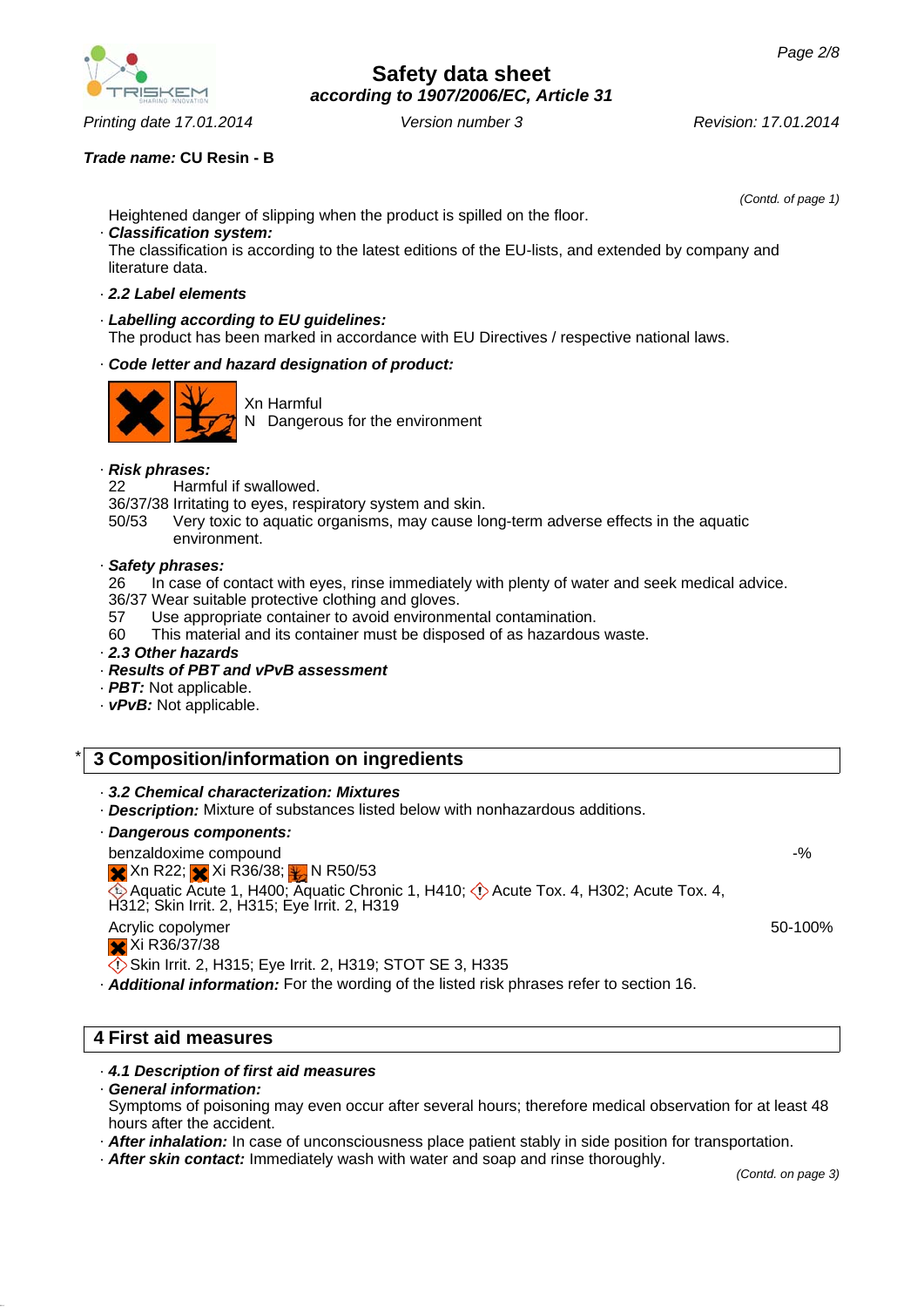

*Printing date 17.01.2014 Revision: 17.01.2014 Version number 3*

### *Trade name:* **CU Resin - B**

Heightened danger of slipping when the product is spilled on the floor.

*(Contd. of page 1)*

### · *Classification system:*

The classification is according to the latest editions of the EU-lists, and extended by company and literature data.

#### · *2.2 Label elements*

#### · *Labelling according to EU guidelines:* The product has been marked in accordance with EU Directives / respective national laws.

### · *Code letter and hazard designation of product:*



Xn Harmful N Dangerous for the environment

#### · *Risk phrases:*

22 Harmful if swallowed.

36/37/38 Irritating to eyes, respiratory system and skin.

50/53 Very toxic to aquatic organisms, may cause long-term adverse effects in the aquatic environment.

#### · *Safety phrases:*

26 In case of contact with eyes, rinse immediately with plenty of water and seek medical advice.

36/37 Wear suitable protective clothing and gloves.

57 Use appropriate container to avoid environmental contamination.

- 60 This material and its container must be disposed of as hazardous waste.
- · *2.3 Other hazards*
- · *Results of PBT and vPvB assessment*
- · *PBT:* Not applicable.
- · *vPvB:* Not applicable.

## \* **3 Composition/information on ingredients**

· *3.2 Chemical characterization: Mixtures*

· *Description:* Mixture of substances listed below with nonhazardous additions.

#### · *Dangerous components:*

benzaldoxime compound  $\times$  Xn R22;  $\times$  Xi R36/38;  $\times$  N R50/53  $\overline{\textcircled{\bullet}}$  Aquatic Acute 1, H400; Aquatic Chronic 1, H410;  $\overline{\textcircled{\bullet}}$  Acute Tox. 4, H302; Acute Tox. 4, H312; Skin Irrit. 2, H315; Eye Irrit. 2, H319

Acrylic copolymer Xi R36/37/38

Skin Irrit. 2, H315; Eye Irrit. 2, H319; STOT SE 3, H335

· *Additional information:* For the wording of the listed risk phrases refer to section 16.

### **4 First aid measures**

### · *4.1 Description of first aid measures*

### · *General information:*

Symptoms of poisoning may even occur after several hours; therefore medical observation for at least 48 hours after the accident.

- · *After inhalation:* In case of unconsciousness place patient stably in side position for transportation.
- · *After skin contact:* Immediately wash with water and soap and rinse thoroughly.

-%

50-100%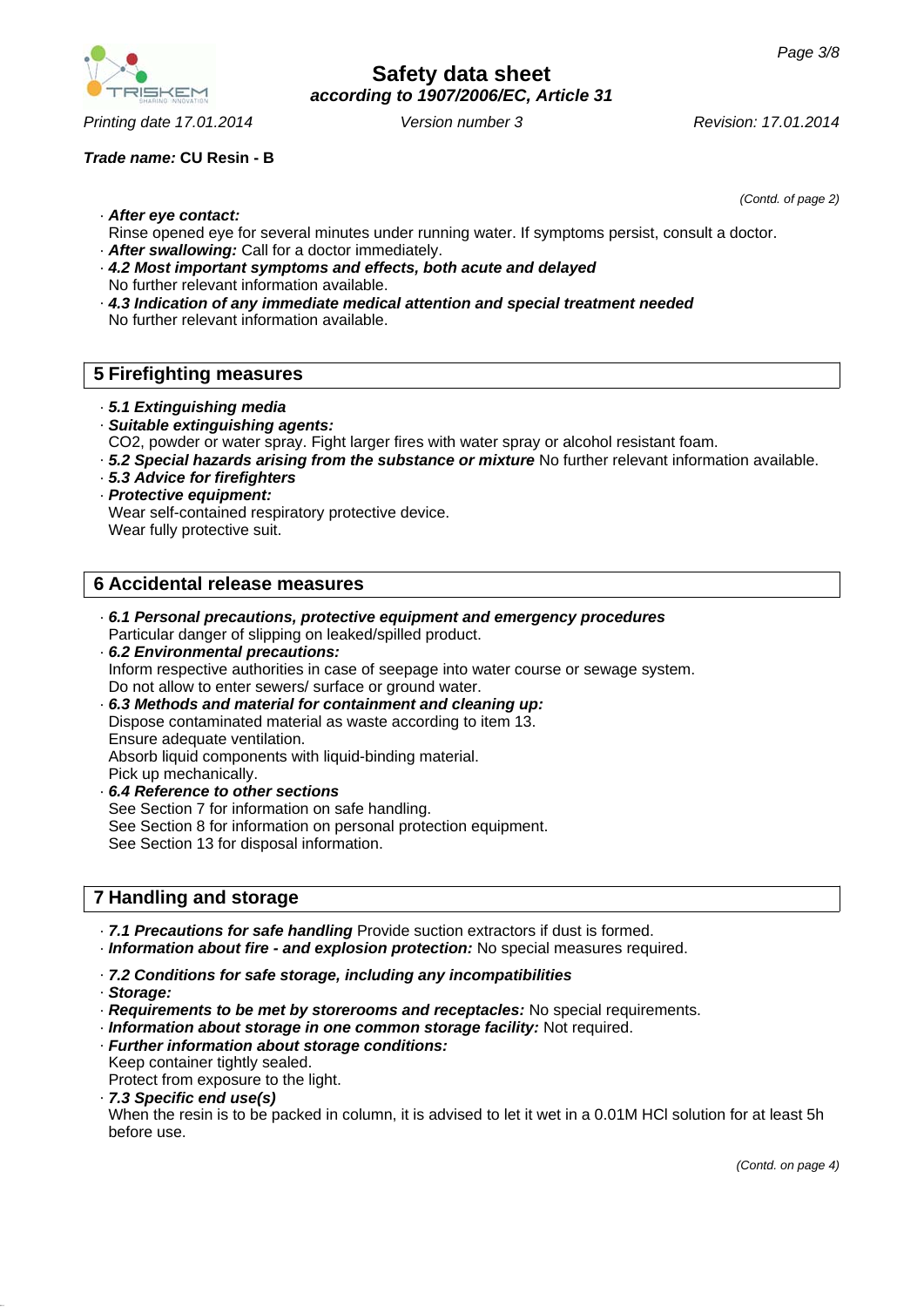*(Contd. of page 2)*

· *After eye contact:*

- Rinse opened eye for several minutes under running water. If symptoms persist, consult a doctor.
- · *After swallowing:* Call for a doctor immediately.
- · *4.2 Most important symptoms and effects, both acute and delayed* No further relevant information available.
- · *4.3 Indication of any immediate medical attention and special treatment needed* No further relevant information available.

## **5 Firefighting measures**

- · *5.1 Extinguishing media*
- · *Suitable extinguishing agents:*
- CO2, powder or water spray. Fight larger fires with water spray or alcohol resistant foam.
- · *5.2 Special hazards arising from the substance or mixture* No further relevant information available.
- · *5.3 Advice for firefighters*
- · *Protective equipment:* Wear self-contained respiratory protective device. Wear fully protective suit.

### **6 Accidental release measures**

- · *6.1 Personal precautions, protective equipment and emergency procedures* Particular danger of slipping on leaked/spilled product.
- · *6.2 Environmental precautions:* Inform respective authorities in case of seepage into water course or sewage system. Do not allow to enter sewers/ surface or ground water.
- · *6.3 Methods and material for containment and cleaning up:* Dispose contaminated material as waste according to item 13. Ensure adequate ventilation. Absorb liquid components with liquid-binding material. Pick up mechanically.
- · *6.4 Reference to other sections* See Section 7 for information on safe handling. See Section 8 for information on personal protection equipment. See Section 13 for disposal information.

## **7 Handling and storage**

- · *7.1 Precautions for safe handling* Provide suction extractors if dust is formed.
- · *Information about fire and explosion protection:* No special measures required.

### · *7.2 Conditions for safe storage, including any incompatibilities*

- · *Storage:*
- · *Requirements to be met by storerooms and receptacles:* No special requirements.
- · *Information about storage in one common storage facility:* Not required.
- · *Further information about storage conditions:* Keep container tightly sealed. Protect from exposure to the light.
- · *7.3 Specific end use(s)*

When the resin is to be packed in column, it is advised to let it wet in a 0.01M HCl solution for at least 5h before use.



*Printing date 17.01.2014 Revision: 17.01.2014 Version number 3*

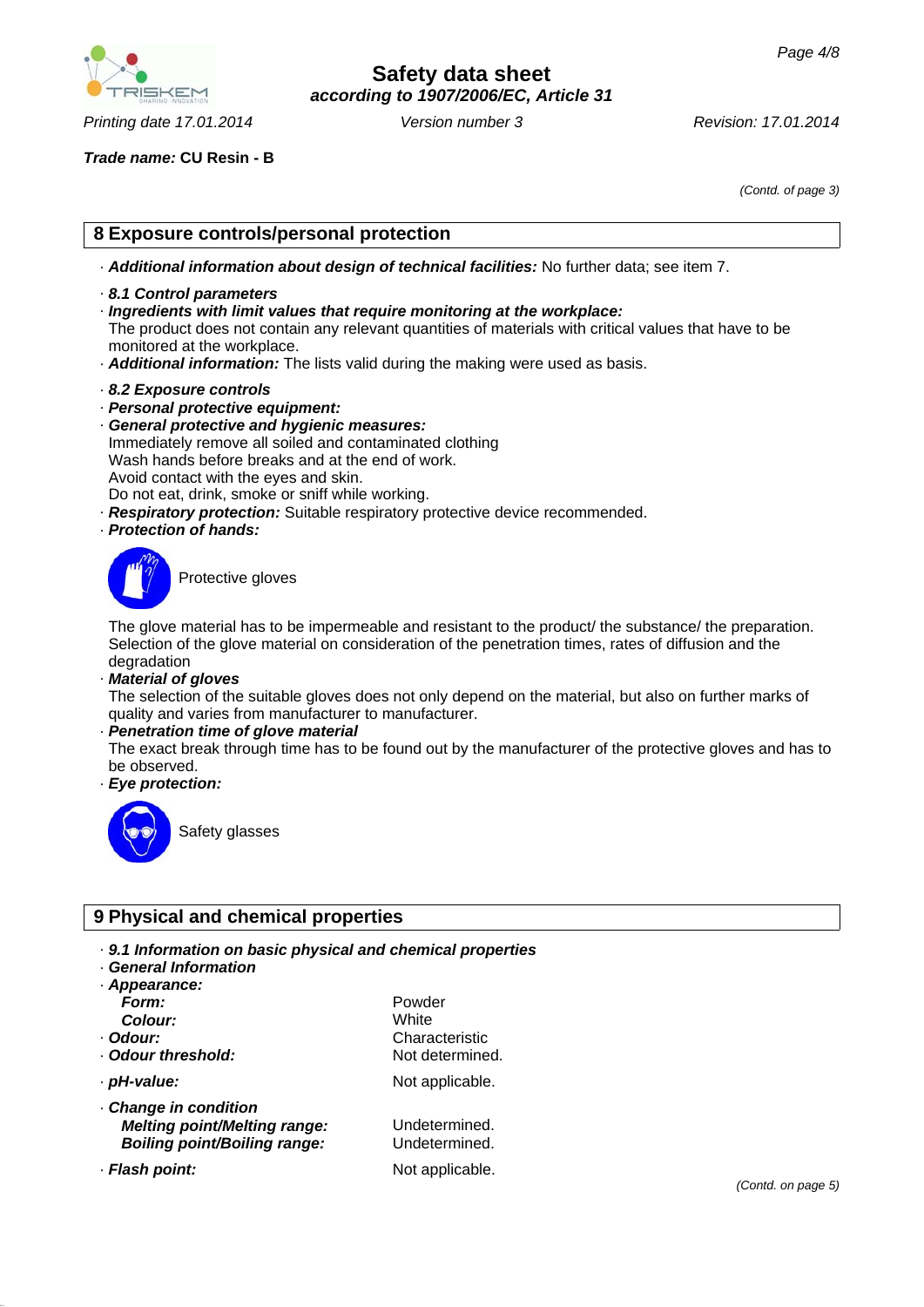

*Printing date 17.01.2014 Revision: 17.01.2014 Version number 3*

*Trade name:* **CU Resin - B**

*(Contd. of page 3)*

## **8 Exposure controls/personal protection**

- · *Additional information about design of technical facilities:* No further data; see item 7.
- · *8.1 Control parameters*
- · *Ingredients with limit values that require monitoring at the workplace:*

The product does not contain any relevant quantities of materials with critical values that have to be monitored at the workplace.

- · *Additional information:* The lists valid during the making were used as basis.
- · *8.2 Exposure controls*
- · *Personal protective equipment:*
- · *General protective and hygienic measures:* Immediately remove all soiled and contaminated clothing Wash hands before breaks and at the end of work. Avoid contact with the eyes and skin. Do not eat, drink, smoke or sniff while working.
- · *Respiratory protection:* Suitable respiratory protective device recommended.
- · *Protection of hands:*



Protective gloves

The glove material has to be impermeable and resistant to the product/ the substance/ the preparation. Selection of the glove material on consideration of the penetration times, rates of diffusion and the degradation

· *Material of gloves*

The selection of the suitable gloves does not only depend on the material, but also on further marks of quality and varies from manufacturer to manufacturer.

#### · *Penetration time of glove material*

The exact break through time has to be found out by the manufacturer of the protective gloves and has to be observed.

· *Eye protection:*



Safety glasses

### **9 Physical and chemical properties**

- · *9.1 Information on basic physical and chemical properties*
- · *General Information*

| · Appearance:                       |                 |
|-------------------------------------|-----------------|
| Form:                               | Powder          |
| Colour:                             | White           |
| · Odour:                            | Characteristic  |
| Odour threshold:                    | Not determined. |
| · pH-value:                         | Not applicable. |
| · Change in condition               |                 |
| <b>Melting point/Melting range:</b> | Undetermined.   |
| <b>Boiling point/Boiling range:</b> | Undetermined.   |

· **Flash point:** Not applicable.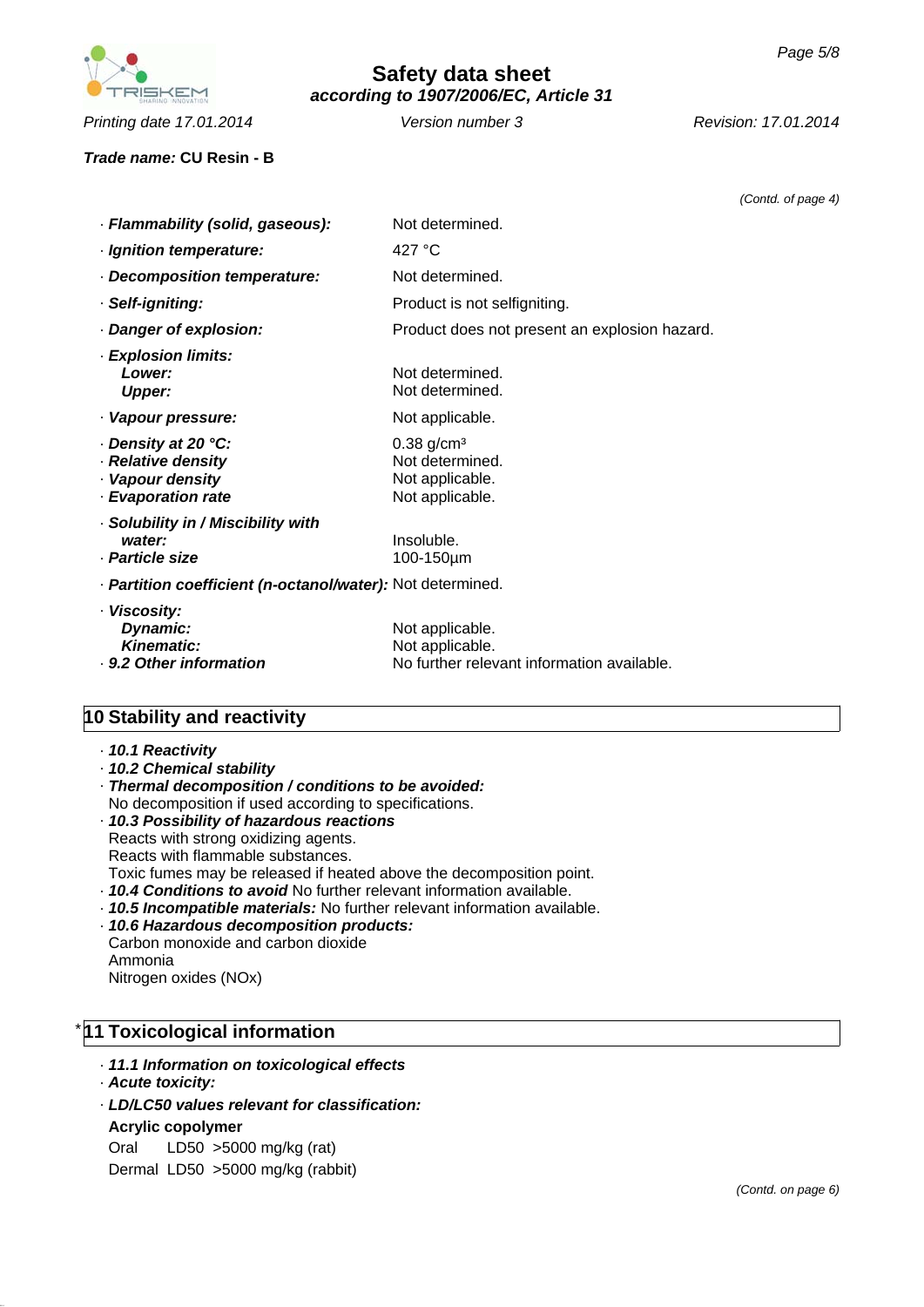

*Printing date 17.01.2014 Revision: 17.01.2014 Version number 3*

*Trade name:* **CU Resin - B**

|                                                                                     |                                                                                   | (Contd. of page 4) |
|-------------------------------------------------------------------------------------|-----------------------------------------------------------------------------------|--------------------|
| · Flammability (solid, gaseous):                                                    | Not determined.                                                                   |                    |
| · Ignition temperature:                                                             | 427 $\degree$ C                                                                   |                    |
| · Decomposition temperature:                                                        | Not determined.                                                                   |                    |
| · Self-igniting:                                                                    | Product is not selfigniting.                                                      |                    |
| · Danger of explosion:                                                              | Product does not present an explosion hazard.                                     |                    |
| · Explosion limits:<br>Lower:<br><b>Upper:</b>                                      | Not determined.<br>Not determined.                                                |                    |
| · Vapour pressure:                                                                  | Not applicable.                                                                   |                    |
| ⋅ Density at 20 °C:<br>· Relative density<br>· Vapour density<br>· Evaporation rate | $0.38$ g/cm <sup>3</sup><br>Not determined.<br>Not applicable.<br>Not applicable. |                    |
| · Solubility in / Miscibility with<br>water:<br>· Particle size                     | Insoluble.<br>100-150µm                                                           |                    |
| · Partition coefficient (n-octanol/water): Not determined.                          |                                                                                   |                    |
| · Viscosity:<br>Dynamic:<br><b>Kinematic:</b><br>· 9.2 Other information            | Not applicable.<br>Not applicable.<br>No further relevant information available.  |                    |

## **10 Stability and reactivity**

- · *10.1 Reactivity*
- · *10.2 Chemical stability*
- · *Thermal decomposition / conditions to be avoided:* No decomposition if used according to specifications.
- · *10.3 Possibility of hazardous reactions* Reacts with strong oxidizing agents. Reacts with flammable substances. Toxic fumes may be released if heated above the decomposition point. · *10.4 Conditions to avoid* No further relevant information available.
- · *10.5 Incompatible materials:* No further relevant information available.
- · *10.6 Hazardous decomposition products:* Carbon monoxide and carbon dioxide
- Ammonia

Nitrogen oxides (NOx)

## \* **11 Toxicological information**

- · *11.1 Information on toxicological effects*
- · *Acute toxicity:*
- · *LD/LC50 values relevant for classification:*
- **Acrylic copolymer**
- Oral LD50 >5000 mg/kg (rat)

Dermal LD50 >5000 mg/kg (rabbit)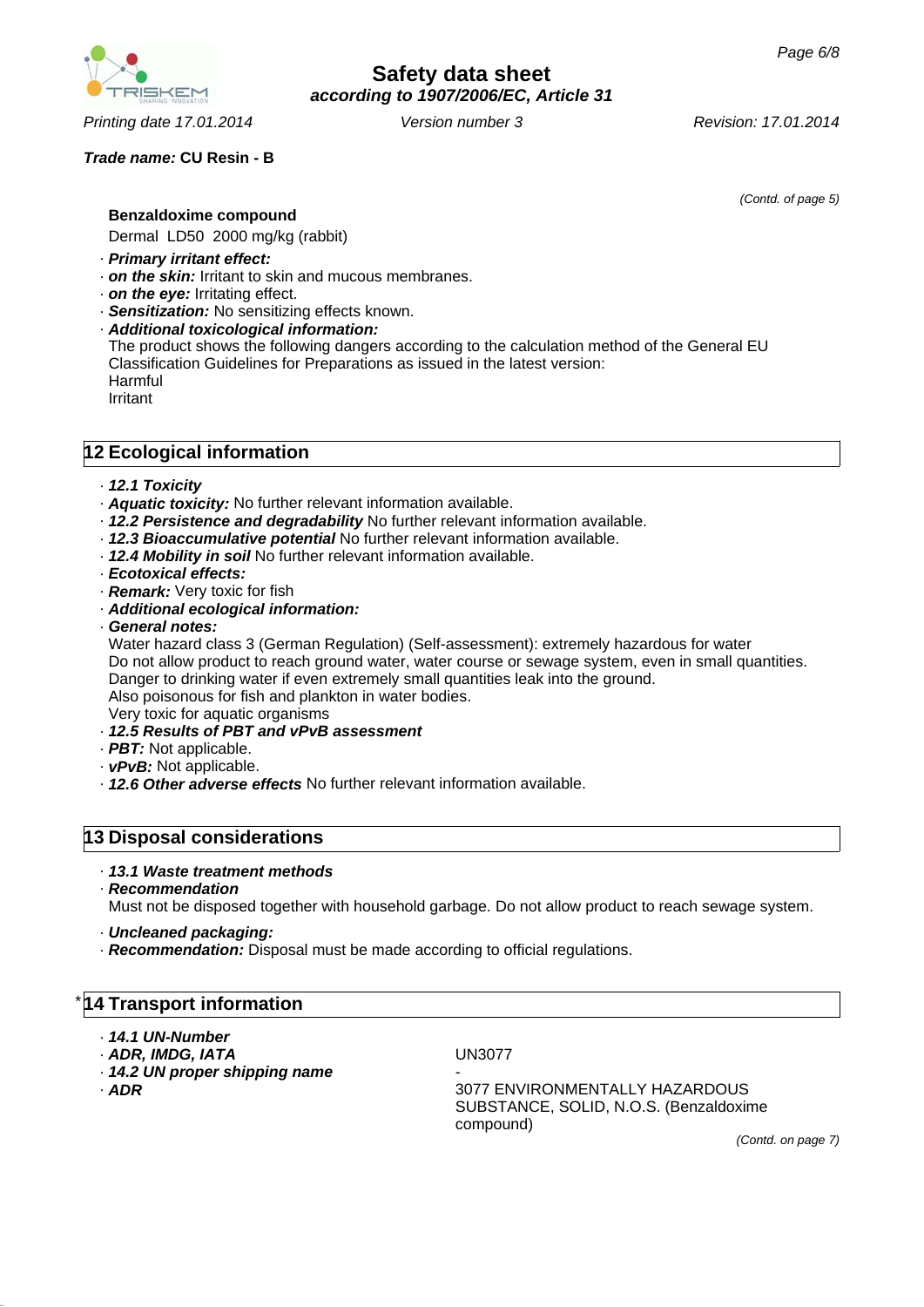*Printing date 17.01.2014 Revision: 17.01.2014 Version number 3*

### *Trade name:* **CU Resin - B**

*(Contd. of page 5)*

**Benzaldoxime compound**

Dermal LD50 2000 mg/kg (rabbit)

- · *Primary irritant effect:*
- · *on the skin:* Irritant to skin and mucous membranes.
- · *on the eye:* Irritating effect.
- · *Sensitization:* No sensitizing effects known.
- · *Additional toxicological information:* The product shows the following dangers according to the calculation method of the General EU Classification Guidelines for Preparations as issued in the latest version: Harmful Irritant

### **12 Ecological information**

- · *12.1 Toxicity*
- · *Aquatic toxicity:* No further relevant information available.
- · *12.2 Persistence and degradability* No further relevant information available.
- · *12.3 Bioaccumulative potential* No further relevant information available.
- · *12.4 Mobility in soil* No further relevant information available.
- · *Ecotoxical effects:*
- · *Remark:* Very toxic for fish
- · *Additional ecological information:*
- · *General notes:*

Water hazard class 3 (German Regulation) (Self-assessment): extremely hazardous for water Do not allow product to reach ground water, water course or sewage system, even in small quantities. Danger to drinking water if even extremely small quantities leak into the ground. Also poisonous for fish and plankton in water bodies. Very toxic for aquatic organisms

- · *12.5 Results of PBT and vPvB assessment*
- · *PBT:* Not applicable.
- · *vPvB:* Not applicable.
- · *12.6 Other adverse effects* No further relevant information available.

### **13 Disposal considerations**

#### · *13.1 Waste treatment methods*

· *Recommendation*

Must not be disposed together with household garbage. Do not allow product to reach sewage system.

- · *Uncleaned packaging:*
- · *Recommendation:* Disposal must be made according to official regulations.

### **14 Transport information**

- · *14.1 UN-Number*
- · *ADR, IMDG, IATA* UN3077
- $\cdot$  14.2 UN proper shipping name
- 

· *ADR* 3077 ENVIRONMENTALLY HAZARDOUS SUBSTANCE, SOLID, N.O.S. (Benzaldoxime compound)

*(Contd. on page 7)*

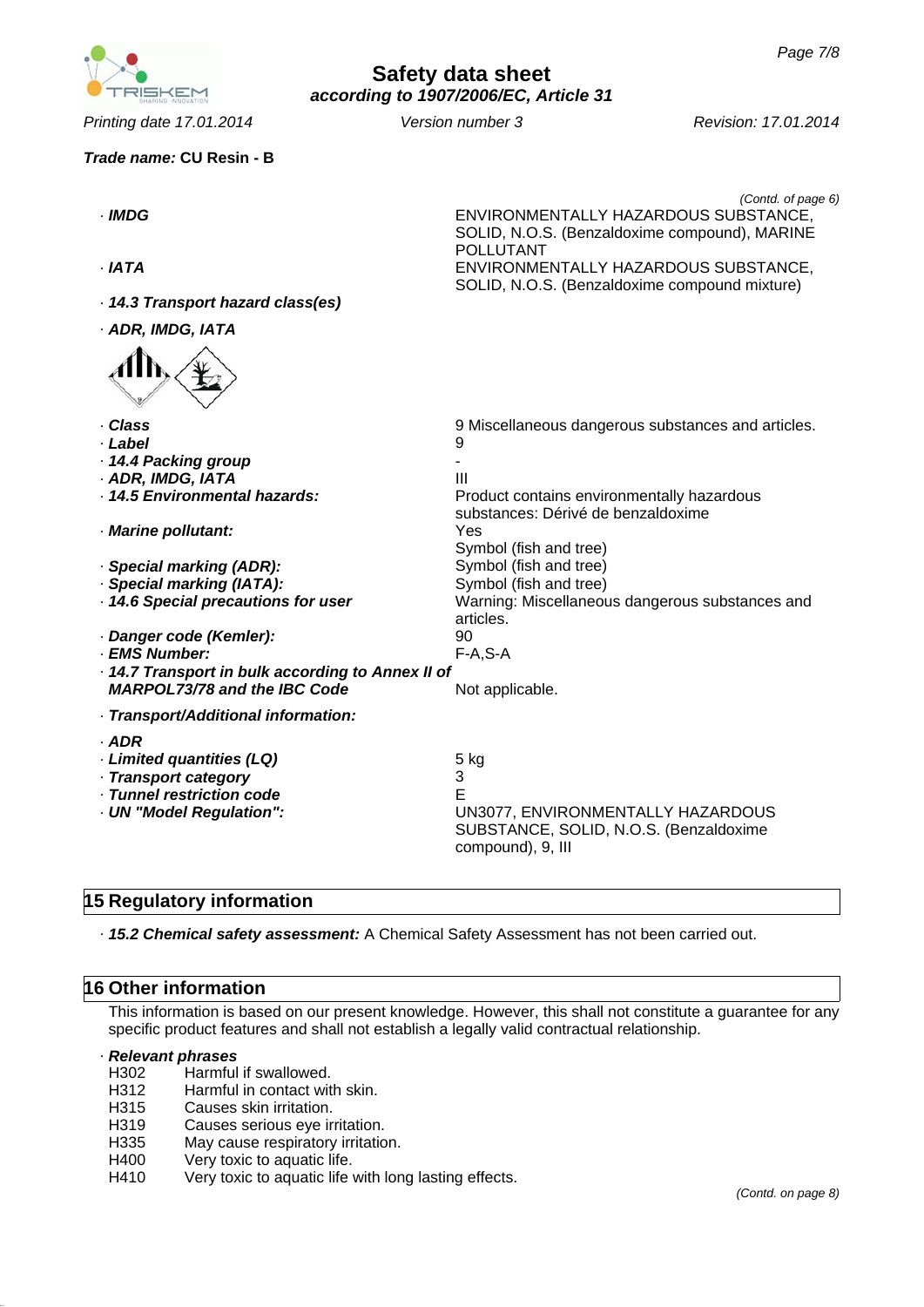*Printing date 17.01.2014 Revision: 17.01.2014 Version number 3*

| Trade name: CU Resin - B                           |                                                                                                                                 |
|----------------------------------------------------|---------------------------------------------------------------------------------------------------------------------------------|
| · IMDG                                             | (Contd. of page 6)<br>ENVIRONMENTALLY HAZARDOUS SUBSTANCE,<br>SOLID, N.O.S. (Benzaldoxime compound), MARINE<br><b>POLLUTANT</b> |
| · IATA                                             | ENVIRONMENTALLY HAZARDOUS SUBSTANCE,<br>SOLID, N.O.S. (Benzaldoxime compound mixture)                                           |
| · 14.3 Transport hazard class(es)                  |                                                                                                                                 |
| · ADR, IMDG, IATA                                  |                                                                                                                                 |
|                                                    |                                                                                                                                 |
| · Class                                            | 9 Miscellaneous dangerous substances and articles.                                                                              |
| · Label                                            | 9                                                                                                                               |
| · 14.4 Packing group                               | Ш                                                                                                                               |
| · ADR, IMDG, IATA<br>· 14.5 Environmental hazards: | Product contains environmentally hazardous                                                                                      |
|                                                    | substances: Dérivé de benzaldoxime                                                                                              |
| · Marine pollutant:                                | Yes                                                                                                                             |
|                                                    | Symbol (fish and tree)                                                                                                          |
| · Special marking (ADR):                           | Symbol (fish and tree)                                                                                                          |
| · Special marking (IATA):                          | Symbol (fish and tree)                                                                                                          |
| · 14.6 Special precautions for user                | Warning: Miscellaneous dangerous substances and                                                                                 |
|                                                    | articles.                                                                                                                       |
| · Danger code (Kemler):                            | 90                                                                                                                              |
| · EMS Number:                                      | $F-A, S-A$                                                                                                                      |
| · 14.7 Transport in bulk according to Annex II of  |                                                                                                                                 |
| <b>MARPOL73/78 and the IBC Code</b>                | Not applicable.                                                                                                                 |
| · Transport/Additional information:                |                                                                                                                                 |
| $·$ ADR                                            |                                                                                                                                 |
| · Limited quantities (LQ)                          | 5 kg                                                                                                                            |
| · Transport category                               | 3                                                                                                                               |
| · Tunnel restriction code                          | F                                                                                                                               |
| - UN "Model Regulation":                           | UN3077, ENVIRONMENTALLY HAZARDOUS<br>SUBSTANCE, SOLID, N.O.S. (Benzaldoxime<br>compound), 9, III                                |
|                                                    |                                                                                                                                 |

# **15 Regulatory information**

· *15.2 Chemical safety assessment:* A Chemical Safety Assessment has not been carried out.

### **16 Other information**

This information is based on our present knowledge. However, this shall not constitute a guarantee for any specific product features and shall not establish a legally valid contractual relationship.

#### · *Relevant phrases*

- H302 Harmful if swallowed.
- H312 Harmful in contact with skin.
- H315 Causes skin irritation.
- H319 Causes serious eye irritation.
- H335 May cause respiratory irritation.
- H400 Very toxic to aquatic life.
- H410 Very toxic to aquatic life with long lasting effects.